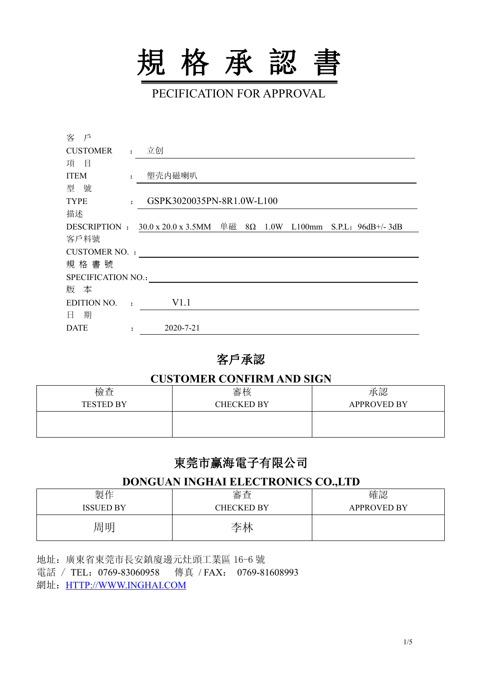

PECIFICATION FOR APPROVAL

| 客<br>戶               |                |                                                                  |  |  |                                |
|----------------------|----------------|------------------------------------------------------------------|--|--|--------------------------------|
| <b>CUSTOMER</b>      | $\cdot$        | 立创                                                               |  |  |                                |
| 目<br>項               |                |                                                                  |  |  |                                |
| <b>ITEM</b>          |                | 塑壳内磁喇叭                                                           |  |  |                                |
| 號<br>型               |                |                                                                  |  |  |                                |
| <b>TYPE</b>          | ٠              | GSPK3020035PN-8R1.0W-L100                                        |  |  |                                |
| 描述                   |                |                                                                  |  |  |                                |
|                      |                | DESCRIPTION : $30.0 \times 20.0 \times 3.5$ MM 单磁 $8\Omega$ 1.0W |  |  | L100mm S.P.L: $96dB$ +/- $3dB$ |
| 客戶料號                 |                |                                                                  |  |  |                                |
| <b>CUSTOMER NO.:</b> |                |                                                                  |  |  |                                |
| 規格書號                 |                |                                                                  |  |  |                                |
| SPECIFICATION NO.:   |                |                                                                  |  |  |                                |
| 版 本                  |                |                                                                  |  |  |                                |
| EDITION NO.          | $\bullet$      | V1.1                                                             |  |  |                                |
| 期<br>日               |                |                                                                  |  |  |                                |
| <b>DATE</b>          | $\ddot{\cdot}$ | 2020-7-21                                                        |  |  |                                |

# 客戶承認

## **CUSTOMER CONFIRM AND SIGN**

| 檢查               | 審核                | 承認                 |
|------------------|-------------------|--------------------|
| <b>TESTED BY</b> | <b>CHECKED BY</b> | <b>APPROVED BY</b> |
|                  |                   |                    |
|                  |                   |                    |

# 東莞市赢海電子有限公司

# **DONGUAN INGHAI ELECTRONICS CO.,LTD**

| 製作               | 宝本<br>佾旦          | 確認                 |
|------------------|-------------------|--------------------|
| <b>ISSUED BY</b> | <b>CHECKED BY</b> | <b>APPROVED BY</b> |
| 周明               | 李林                |                    |

地址:廣東省東莞市長安鎮廈邊元灶頭工業區 16-6 號 電話 / TEL:0769-83060958 傳真 /FAX: 0769-81608993 網址: [HTTP://WWW.INGHAI.COM](http://www.inghai.com)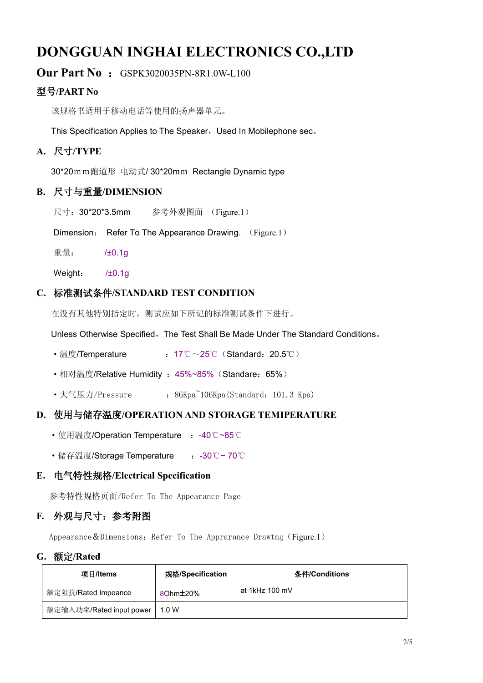# **DONGGUAN INGHAI ELECTRONICS CO.,LTD**

## **Our Part No: GSPK3020035PN-8R1.0W-L100**

# 型号**/PART No**

该规格书适用于移动电话等使用的扬声器单元。

This Specification Applies to The Speaker, Used In Mobilephone sec.

## **A.** 尺寸**/TYPE**

30\*20mm跑道形 电动式/ 30\*20mm Rectangle Dynamic type

#### **B.** 尺寸与重量**/DIMENSION**

尺寸:30\*20\*3.5mm 参考外观图面 (Figure.1)

Dimension: Refer To The Appearance Drawing. (Figure.1)

重量: /±0.1g

Weight: /±0.1g

#### **C.** 标准测试条件**/STANDARD TEST CONDITION**

在没有其他特别指定时,测试应如下所记的标准测试条件下进行。

Unless Otherwise Specified, The Test Shall Be Made Under The Standard Conditions。

- 温度/Temperature : 17℃~25℃ (Standard: 20.5℃)
- ·相对温度/Relative Humidity :45%~85%(Standare:65%)
- •大气压力/Pressure : 86Kpa<sup>~</sup>106Kpa(Standard: 101.3 Kpa)

### **D.** 使用与储存温度**/OPERATION AND STORAGE TEMIPERATURE**

- 使用温度/Operation Temperature : -40℃~85℃
- •储存温度/Storage Temperature : -30℃~ 70℃

#### **E.** 电气特性规格**/Electrical Specification**

参考特性规格页面/Refer To The Appearance Page

#### **F.** 外观与尺寸:参考附图

Appearance  $&$  Dimensions: Refer To The Apprarance Drawtng (Figure.1)

#### **G.** 额定**/Rated**

| 项目/Items                 | 规格/Specification      | 条件/Conditions  |
|--------------------------|-----------------------|----------------|
| 额定阻抗/Rated Impeance      | 80hm <sup>+</sup> 20% | at 1kHz 100 mV |
| 额定输入功率/Rated input power | 1.0 W                 |                |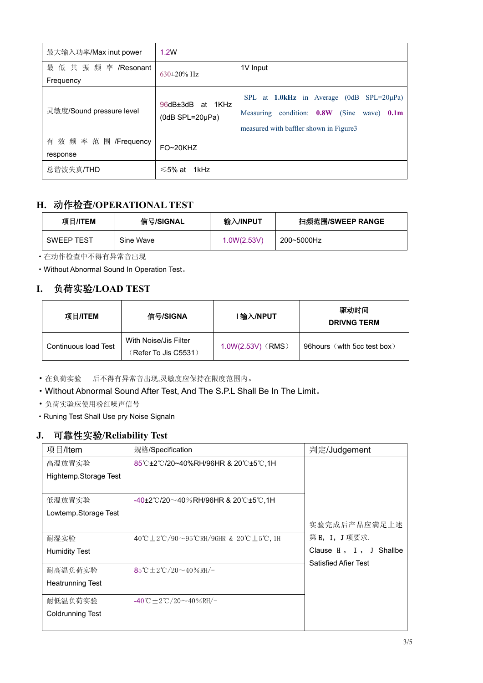| 最大输入功率/Max inut power              | 1.2W                                        |                                                                                                                                                     |
|------------------------------------|---------------------------------------------|-----------------------------------------------------------------------------------------------------------------------------------------------------|
| 最低共振频率/Resonant                    | $630\pm20\%$ Hz                             | 1V Input                                                                                                                                            |
| Frequency                          |                                             |                                                                                                                                                     |
| 灵敏度/Sound pressure level           | 96dB±3dB at 1KHz<br>$(0dB$ SPL=20 $\mu$ Pa) | SPL at 1.0kHz in Average (0dB<br>$SPL = 20\mu Pa$<br>(Sine)<br>Measuring condition: 0.8W<br>wave) $0.1m$<br>measured with baffler shown in Figure 3 |
| 有 效 频 率 范 围 /Frequency<br>response | FO~20KHZ                                    |                                                                                                                                                     |
| 总谐波失真/THD                          | $\leq 5\%$ at 1kHz                          |                                                                                                                                                     |

# **H.** 动作检查**/OPERATIONAL TEST**

| 项目/ITEM           | 信号/SIGNAL | 输入/INPUT    | 扫频范围/SWEEP RANGE |
|-------------------|-----------|-------------|------------------|
| <b>SWEEP TEST</b> | Sine Wave | 1.0W(2.53V) | 200~5000Hz       |

·在动作检查中不得有异常音出现

·Without Abnormal Sound In Operation Test。

# **I.** 负荷实验**/LOAD TEST**

| 项目/ITEM              | 信号/SIGNA                                      | l 输入/NPUT           | 驱动时间<br><b>DRIVNG TERM</b>   |
|----------------------|-----------------------------------------------|---------------------|------------------------------|
| Continuous load Test | With Noise/Jis Filter<br>(Refer To Jis C5531) | $1.0W(2.53V)$ (RMS) | 96 hours (with 5cc test box) |

·在负荷实验 后不得有异常音出现,灵敏度应保持在限度范围内。

·Without Abnormal Sound After Test, And The S**.**P.L Shall Be In The Limit。

·负荷实验应使用粉红噪声信号

·Runing Test Shall Use pry Noise Signaln

# **J.** 可靠性实验**/Reliability Test**

| 项目/Item                 | 规格/Specification                                                                | 判定/Judgement                |
|-------------------------|---------------------------------------------------------------------------------|-----------------------------|
| 高温放置实验                  | 85℃±2℃/20~40%RH/96HR & 20℃±5℃,1H                                                |                             |
| Hightemp.Storage Test   |                                                                                 |                             |
|                         |                                                                                 |                             |
| 低温放置实验                  | $-40\pm2\degree$ C/20 $\sim$ 40%RH/96HR & 20 $\degree$ C $\pm$ 5 $\degree$ C,1H |                             |
| Lowtemp.Storage Test    |                                                                                 | 实验完成后产品应满足上述                |
| 耐湿实验                    | 40℃±2℃/90~95℃RH/96HR & 20℃±5℃, 1H                                               | 第 H, I, J 项要求.              |
| <b>Humidity Test</b>    |                                                                                 | Clause H, I, J Shallbe      |
| 耐高温负荷实验                 | 85°C $\pm 2$ °C/20~40%RH/-                                                      | <b>Satisfied Afier Test</b> |
| <b>Heatrunning Test</b> |                                                                                 |                             |
| 耐低温负荷实验                 | $-40^{\circ}$ C $\pm 2^{\circ}$ C / 20 $\sim$ 40 % RH/-                         |                             |
| <b>Coldrunning Test</b> |                                                                                 |                             |
|                         |                                                                                 |                             |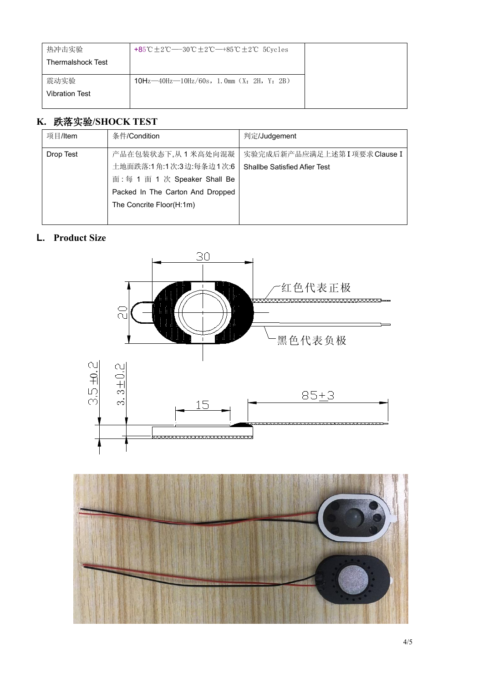| 热冲击实验                    | +85 °C ± 2 °C − − 30 °C ± 2 °C − +85 °C ± 2 °C 5 Cycles |
|--------------------------|---------------------------------------------------------|
| <b>Thermalshock Test</b> |                                                         |
| 震动实验                     | $10Hz - 40Hz - 10Hz/60s$ , 1.0mm (X: 2H, Y: 2B)         |
| <b>Vibration Test</b>    |                                                         |
|                          |                                                         |

# **K.** 跌落实验**/SHOCK TEST**

| 项目/Item   | 条件/Condition                     | 判定/Judgement                        |
|-----------|----------------------------------|-------------------------------------|
| Drop Test | 产品在包装状态下,从1米高处向混凝                | 实验完成后新产品应满足上述第 I 项要求 Clause I       |
|           | 土地面跌落:1角:1次:3边:每条边1次:6           | <b>Shallbe Satisfied Afier Test</b> |
|           | 面:每 1 面 1 次 Speaker Shall Be     |                                     |
|           | Packed In The Carton And Dropped |                                     |
|           | The Concrite Floor(H:1m)         |                                     |
|           |                                  |                                     |

# **L. Product Size**



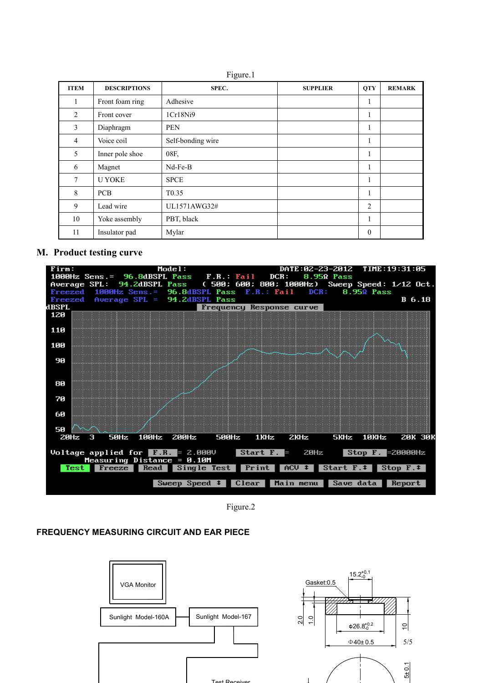Figure.1

| <b>ITEM</b>    | <b>DESCRIPTIONS</b> | SPEC.             | <b>SUPPLIER</b> | <b>QTY</b>       | <b>REMARK</b> |
|----------------|---------------------|-------------------|-----------------|------------------|---------------|
|                | Front foam ring     | Adhesive          |                 |                  |               |
| 2              | Front cover         | 1Cr18Ni9          |                 |                  |               |
| 3              | Diaphragm           | <b>PEN</b>        |                 | -1               |               |
| $\overline{4}$ | Voice coil          | Self-bonding wire |                 | -1               |               |
| 5              | Inner pole shoe     | 08F,              |                 | $\mathbf{I}$     |               |
| 6              | Magnet              | $Nd$ -Fe-B        |                 | -1               |               |
| 7              | <b>U YOKE</b>       | <b>SPCE</b>       |                 |                  |               |
| 8              | <b>PCB</b>          | T <sub>0.35</sub> |                 |                  |               |
| 9              | Lead wire           | UL1571AWG32#      |                 | $\overline{2}$   |               |
| 10             | Yoke assembly       | PBT, black        |                 |                  |               |
| 11             | Insulator pad       | Mylar             |                 | $\boldsymbol{0}$ |               |

#### **M. Product testing curve**



Figure.2

#### **FREQUENCY MEASURING CIRCUIT AND EAR PIECE**